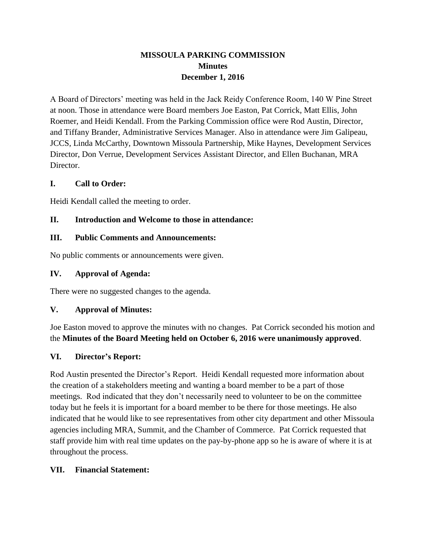# **MISSOULA PARKING COMMISSION Minutes December 1, 2016**

A Board of Directors' meeting was held in the Jack Reidy Conference Room, 140 W Pine Street at noon. Those in attendance were Board members Joe Easton, Pat Corrick, Matt Ellis, John Roemer, and Heidi Kendall. From the Parking Commission office were Rod Austin, Director, and Tiffany Brander, Administrative Services Manager. Also in attendance were Jim Galipeau, JCCS, Linda McCarthy, Downtown Missoula Partnership, Mike Haynes, Development Services Director, Don Verrue, Development Services Assistant Director, and Ellen Buchanan, MRA Director.

### **I. Call to Order:**

Heidi Kendall called the meeting to order.

### **II. Introduction and Welcome to those in attendance:**

#### **III. Public Comments and Announcements:**

No public comments or announcements were given.

### **IV. Approval of Agenda:**

There were no suggested changes to the agenda.

#### **V. Approval of Minutes:**

Joe Easton moved to approve the minutes with no changes. Pat Corrick seconded his motion and the **Minutes of the Board Meeting held on October 6, 2016 were unanimously approved**.

## **VI. Director's Report:**

Rod Austin presented the Director's Report. Heidi Kendall requested more information about the creation of a stakeholders meeting and wanting a board member to be a part of those meetings. Rod indicated that they don't necessarily need to volunteer to be on the committee today but he feels it is important for a board member to be there for those meetings. He also indicated that he would like to see representatives from other city department and other Missoula agencies including MRA, Summit, and the Chamber of Commerce. Pat Corrick requested that staff provide him with real time updates on the pay-by-phone app so he is aware of where it is at throughout the process.

#### **VII. Financial Statement:**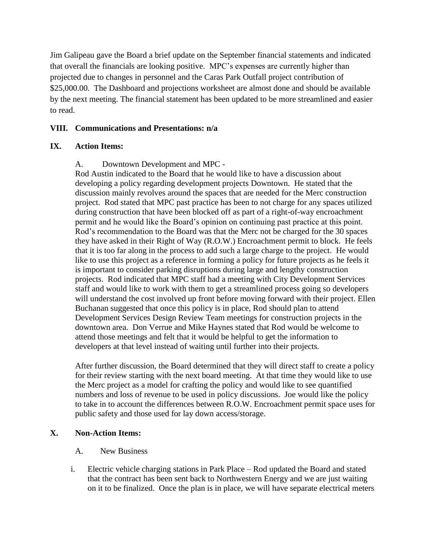Jim Galipeau gave the Board a brief update on the September financial statements and indicated that overall the financials are looking positive. MPC's expenses are currently higher than projected due to changes in personnel and the Caras Park Outfall project contribution of \$25,000.00. The Dashboard and projections worksheet are almost done and should be available by the next meeting. The financial statement has been updated to be more streamlined and easier to read.

### **VIII. Communications and Presentations: n/a**

#### **IX. Action Items:**

A. Downtown Development and MPC -

Rod Austin indicated to the Board that he would like to have a discussion about developing a policy regarding development projects Downtown. He stated that the discussion mainly revolves around the spaces that are needed for the Merc construction project. Rod stated that MPC past practice has been to not charge for any spaces utilized during construction that have been blocked off as part of a right-of-way encroachment permit and he would like the Board's opinion on continuing past practice at this point. Rod's recommendation to the Board was that the Merc not be charged for the 30 spaces they have asked in their Right of Way (R.O.W.) Encroachment permit to block. He feels that it is too far along in the process to add such a large charge to the project. He would like to use this project as a reference in forming a policy for future projects as he feels it is important to consider parking disruptions during large and lengthy construction projects. Rod indicated that MPC staff had a meeting with City Development Services staff and would like to work with them to get a streamlined process going so developers will understand the cost involved up front before moving forward with their project. Ellen Buchanan suggested that once this policy is in place, Rod should plan to attend Development Services Design Review Team meetings for construction projects in the downtown area. Don Verrue and Mike Haynes stated that Rod would be welcome to attend those meetings and felt that it would be helpful to get the information to developers at that level instead of waiting until further into their projects.

After further discussion, the Board determined that they will direct staff to create a policy for their review starting with the next board meeting. At that time they would like to use the Merc project as a model for crafting the policy and would like to see quantified numbers and loss of revenue to be used in policy discussions. Joe would like the policy to take in to account the differences between R.O.W. Encroachment permit space uses for public safety and those used for lay down access/storage.

#### **X. Non-Action Items:**

#### A. New Business

i. Electric vehicle charging stations in Park Place – Rod updated the Board and stated that the contract has been sent back to Northwestern Energy and we are just waiting on it to be finalized. Once the plan is in place, we will have separate electrical meters